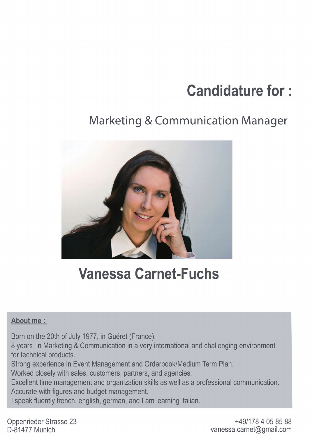# **Candidature for:**

## **Marketing & Communication Manager**



## **Vanessa Carnet-Fuchs**

### About me :

Born on the 20th of July 1977, in Guéret (France).

8 years in Marketing & Communication in a very international and challenging environment for technical products.

Strong experience in Event Management and Orderbook/Medium Term Plan.

Worked closely with sales, customers, partners, and agencies.

Excellent time management and organization skills as well as a professional communication. Accurate with figures and budget management.

I speak fluently french, english, german, and I am learning italian.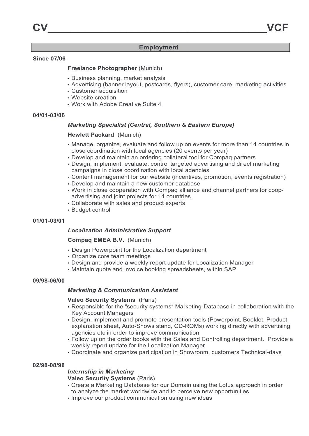#### **Employment**

#### **Since 07/06**

#### **Freelance Photographer** (Munich)

- Business planning, market analysis
- Advertising (banner layout, postcards, flyers), customer care, marketing activities
- Customer acquisition
- Website creation
- Work with Adobe Creative Suite 4

#### **04/01-03/06**

#### *Marketing Specialist (Central, Southern & Eastern Europe)*

#### **Hewlett Packard** (Munich)

- Manage, organize, evaluate and follow up on events for more than 14 countries in close coordination with local agencies (20 events per year)
- Develop and maintain an ordering collateral tool for Compaq partners
- Design, implement, evaluate, control targeted advertising and direct marketing campaigns in close coordination with local agencies
- Content management for our website (incentives, promotion, events registration)
- Develop and maintain a new customer database
- Work in close cooperation with Compaq alliance and channel partners for coopadvertising and joint projects for 14 countries.
- Collaborate with sales and product experts
- Budget control

#### **01/01-03/01**

#### *Localization Administrative Support*

#### **Compaq EMEA B.V.**(Munich)

- Design Powerpoint for the Localization department
- Organize core team meetings
- Design and provide a weekly report update for Localization Manager
- Maintain quote and invoice booking spreadsheets, within SAP

#### **09/98-06/00**

#### *Marketing & Communication Assistant*

#### **Valeo Security Systems** (Paris)

- Responsible for the "security systems" Marketing-Database in collaboration with the Key Account Managers
- Design, implement and promote presentation tools (Powerpoint, Booklet, Product explanation sheet, Auto-Shows stand, CD-ROMs) working directly with advertising agencies etc in order to improve communication
- Follow up on the order books with the Sales and Controlling department. Provide a weekly report update for the Localization Manager
- Coordinate and organize participation in Showroom, customers Technical-days

#### **02/98-08/98**

#### *Internship in Marketing*

**Valeo Security Systems** (Paris)

- Create a Marketing Database for our Domain using the Lotus approach in order to analyze the market worldwide and to perceive new opportunities
- Improve our product communication using new ideas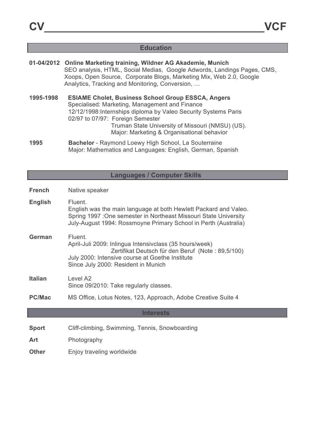### **Education**

|           | 01-04/2012 Online Marketing training, Wildner AG Akademie, Munich<br>SEO analysis, HTML, Social Medias, Google Adwords, Landings Pages, CMS,<br>Xoops, Open Source, Corporate Blogs, Marketing Mix, Web 2.0, Google<br>Analytics, Tracking and Monitoring, Conversion,                                               |
|-----------|----------------------------------------------------------------------------------------------------------------------------------------------------------------------------------------------------------------------------------------------------------------------------------------------------------------------|
| 1995-1998 | <b>ESIAME Cholet, Business School Group ESSCA, Angers</b><br>Specialised: Marketing, Management and Finance<br>12/12/1998: Internships diploma by Valeo Security Systems Paris<br>02/97 to 07/97: Foreign Semester<br>Truman State University of Missouri (NMSU) (US).<br>Major: Marketing & Organisational behavior |
| 1995      | Bachelor - Raymond Loewy High School, La Souterraine<br>Major: Mathematics and Languages: English, German, Spanish                                                                                                                                                                                                   |

## **Languages / Computer Skills**

| <b>French</b>  | Native speaker                                                                                                                                                                                                      |
|----------------|---------------------------------------------------------------------------------------------------------------------------------------------------------------------------------------------------------------------|
| <b>English</b> | Fluent.<br>English was the main language at both Hewlett Packard and Valeo.<br>Spring 1997 : One semester in Northeast Missouri State University<br>July-August 1994: Rossmoyne Primary School in Perth (Australia) |
| <b>German</b>  | Fluent.<br>April-Juli 2009: Inlingua Intensivclass (35 hours/week)<br>Zertifikat Deutsch für den Beruf (Note: 89,5/100)<br>July 2000: Intensive course at Goethe Institute<br>Since July 2000: Resident in Munich   |
| <b>Italian</b> | Level A <sub>2</sub><br>Since 09/2010: Take regularly classes.                                                                                                                                                      |
| <b>PC/Mac</b>  | MS Office, Lotus Notes, 123, Approach, Adobe Creative Suite 4                                                                                                                                                       |
|                | <b>Interests</b>                                                                                                                                                                                                    |
| <b>Sport</b>   | Cliff-climbing, Swimming, Tennis, Snowboarding                                                                                                                                                                      |
| Art            | Photography                                                                                                                                                                                                         |
| <b>Other</b>   | Enjoy traveling worldwide                                                                                                                                                                                           |